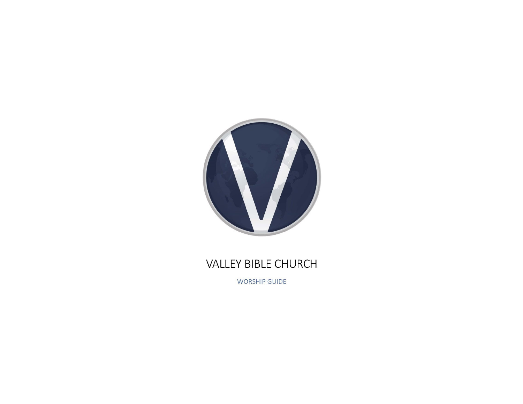

## VALLEY BIBLE CHURCH

**WORSHIP GUIDE**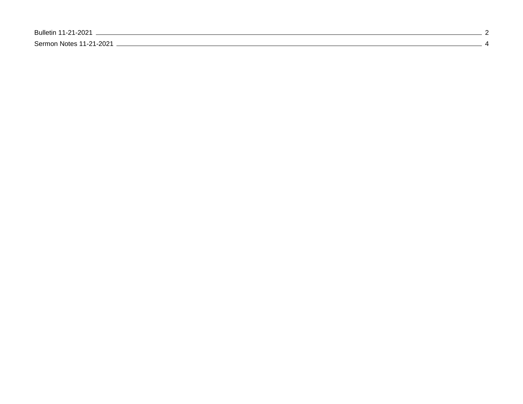[Bulletin 11-21-2021 2](#page-2-0) [Sermon Notes 11-21-2021 4](#page-4-0)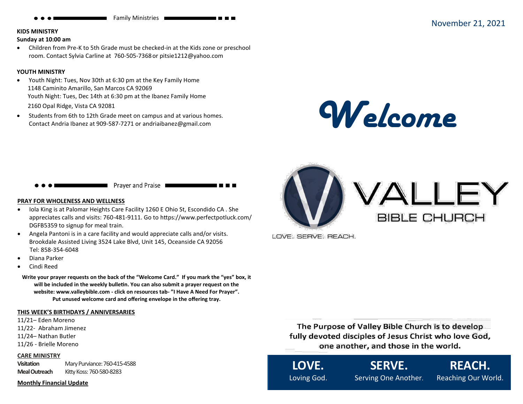#### <span id="page-2-0"></span>**KIDS MINISTRY**

#### **Sunday at 10:00 am**

• Children from Pre-K to 5th Grade must be checked-in at the Kids zone or preschool room. Contact Sylvia Carline at 760-505-7368or pitsie1212@yahoo.com

#### **YOUTH MINISTRY**

- Youth Night: Tues, Nov 30th at 6:30 pm at the Key Family Home 1148 Caminito Amarillo, San Marcos CA 92069 Youth Night: Tues, Dec 14th at 6:30 pm at the Ibanez Family Home 2160 Opal Ridge, Vista CA 92081
- Students from 6th to 12th Grade meet on campus and at various homes. Contact Andria Ibanez at 909-587-7271 or andriaibanez@gmail.com





#### **PRAY FOR WHOLENESS AND WELLNESS**

- Iola King is at Palomar Heights Care Facility 1260 E Ohio St, Escondido CA . She appreciates calls and visits: 760-481-9111. Go to https://www.perfectpotluck.com/ DGFB5359 to signup for meal train.
- Angela Pantoni is in a care facility and would appreciate calls and/or visits. Brookdale Assisted Living 3524 Lake Blvd, Unit 145, Oceanside CA 92056 Tel: 858-354-6048
- Diana Parker
- Cindi Reed

**Write your prayer requests on the back of the "Welcome Card." If you mark the "yes" box, it will be included in the weekly bulletin. You can also submit a prayer request on the website: www.valleybible.com - click on resources tab- "I Have A Need For Prayer". Put unused welcome card and offering envelope in the offering tray.**

#### **THIS WEEK'S BIRTHDAYS / ANNIVERSARIES**

- 11/21– Eden Moreno 11/22- Abraham Jimenez 11/24– Nathan Butler
- 11/26 Brielle Moreno
- 

#### **CARE MINISTRY**

**Visitation** Mary Purviance: 760-415-4588 **Meal Outreach** Kitty Koss: 760-580-8283

#### **Monthly Financial Update**



LOVE, SERVE, REACH.

The Purpose of Valley Bible Church is to develop **fully devoted disciples of Jesus Christ who love God,** one another, and those in the world.

**LOVE.** Loving God. **SERVE.**

**REACH.**

Serving One Another.

Reaching Our World.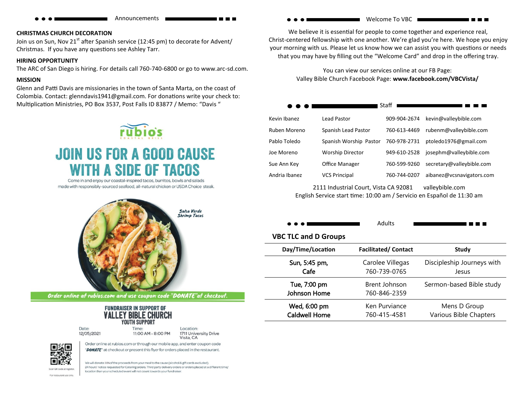$$
\bullet\bullet\bullet
$$

Announcements

#### **CHRISTMAS CHURCH DECORATION**

Join us on Sun, Nov  $21^{st}$  after Spanish service (12:45 pm) to decorate for Advent/ Christmas. If you have any questions see Ashley Tarr.

#### **HIRING OPPORTUNITY**

The ARC of San Diego is hiring. For details call 760-740-6800 or go to www.arc-sd.com.

#### **MISSION**

Glenn and Patti Davis are missionaries in the town of Santa Marta, on the coast of Colombia. Contact: glenndavis1941@gmail.com. For donations write your check to: Multiplication Ministries, PO Box 3537, Post Falls ID 83877 / Memo: "Davis "



# **JOIN US FOR A GOOD CAUSE TH A SIDE OF TACOS**

Come in and enjoy our coastal-inspired tacos, burritos, bowls and salads made with responsibly-sourced seafood, all-natural chicken or USDA Choice steak.



Order online at rubios.com and use coupon code "DONATE" at checkout.

| FUNDRAISER IN SUPPORT OF   |  |  |  |
|----------------------------|--|--|--|
| <b>VALLEY BIBLE CHURCI</b> |  |  |  |
| YOUTH SUPPORT              |  |  |  |
| Time:                      |  |  |  |

location than your scheduled event will not count towards your fundraiser

Date: 12/05/2021

Location: 11:00 AM - 8:00 PM 1711 University Drive Vista, CA



We will donate 30% of the proceeds from your meal to the cause (alcohol & gift cards excluded). 24 hours' notice requested for Catering orders. Third party delivery orders or orders placed at a different time/

Order online at rubios.com or through our mobile app, and enter coupon code "DONATE" at checkout or present this flyer for orders placed in the restaurant.

For restaurant use only

Welcome To VBC

We believe it is essential for people to come together and experience real, Christ-centered fellowship with one another. We're glad you're here. We hope you enjoy your morning with us. Please let us know how we can assist you with questions or needs that you may have by filling out the "Welcome Card" and drop in the offering tray.

> You can view our services online at our FB Page: Valley Bible Church Facebook Page: **www.facebook.com/VBCVista/**

|               |                                       | Staff        |                           |
|---------------|---------------------------------------|--------------|---------------------------|
| Kevin Ibanez  | Lead Pastor                           | 909-904-2674 | kevin@valleybible.com     |
| Ruben Moreno  | Spanish Lead Pastor                   | 760-613-4469 | rubenm@valleybible.com    |
| Pablo Toledo  | Spanish Worship Pastor                | 760-978-2731 | ptoledo1976@gmail.com     |
| Joe Moreno    | <b>Worship Director</b>               | 949-610-2528 | josephm@valleybible.com   |
| Sue Ann Key   | Office Manager                        | 760-599-9260 | secretary@valleybible.com |
| Andria Ibanez | <b>VCS Principal</b>                  | 760-744-0207 | aibanez@vcsnavigators.com |
|               | 2111 Industrial Court, Vista CA 92081 |              | valleybible.com           |

English Service start time: 10:00 am / Servicio en Español de 11:30 am

| . | Adults |
|---|--------|
|   |        |

----

#### **VBC TLC and D Groups**

| Day/Time/Location            | <b>Facilitated/Contact</b>    | Study                      |
|------------------------------|-------------------------------|----------------------------|
| Sun, 5:45 pm,                | Carolee Villegas              | Discipleship Journeys with |
| Cafe                         | 760-739-0765                  | Jesus                      |
| Tue, 7:00 pm<br>Johnson Home | Brent Johnson<br>760-846-2359 | Sermon-based Bible study   |
| Wed, 6:00 pm                 | Ken Purviance                 | Mens D Group               |
| <b>Caldwell Home</b>         | 760-415-4581                  | Various Bible Chapters     |